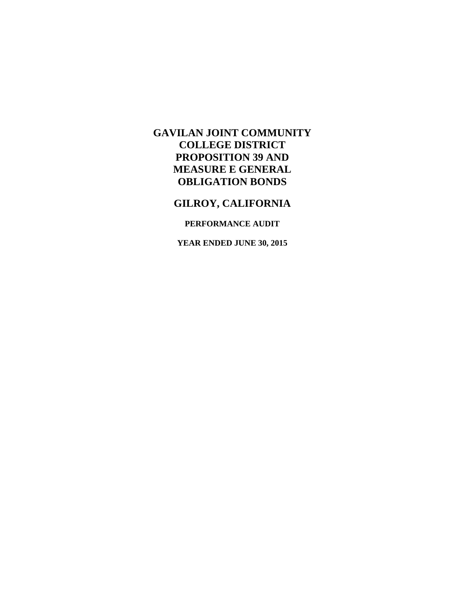# **GILROY, CALIFORNIA**

### **PERFORMANCE AUDIT**

**YEAR ENDED JUNE 30, 2015**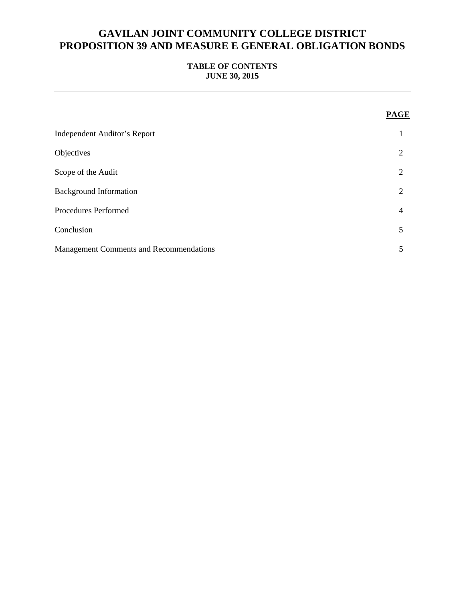### **TABLE OF CONTENTS JUNE 30, 2015**

|                                                | PAGE           |
|------------------------------------------------|----------------|
| <b>Independent Auditor's Report</b>            |                |
| Objectives                                     | $\overline{2}$ |
| Scope of the Audit                             | $\overline{2}$ |
| <b>Background Information</b>                  | $\overline{2}$ |
| <b>Procedures Performed</b>                    | $\overline{4}$ |
| Conclusion                                     | 5              |
| <b>Management Comments and Recommendations</b> | 5              |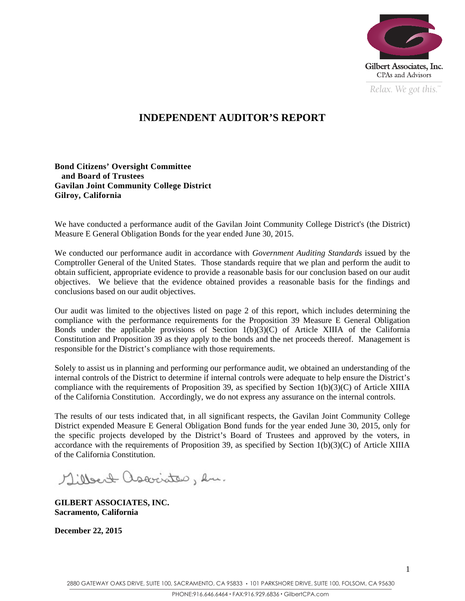

*Relax. We got this.*  $\alpha$ 

## **INDEPENDENT AUDITOR'S REPORT**

### **Bond Citizens' Oversight Committee and Board of Trustees Gavilan Joint Community College District Gilroy, California**

We have conducted a performance audit of the Gavilan Joint Community College District's (the District) Measure E General Obligation Bonds for the year ended June 30, 2015.

We conducted our performance audit in accordance with *Government Auditing Standards* issued by the Comptroller General of the United States. Those standards require that we plan and perform the audit to obtain sufficient, appropriate evidence to provide a reasonable basis for our conclusion based on our audit objectives. We believe that the evidence obtained provides a reasonable basis for the findings and conclusions based on our audit objectives.

Our audit was limited to the objectives listed on page 2 of this report, which includes determining the compliance with the performance requirements for the Proposition 39 Measure E General Obligation Bonds under the applicable provisions of Section  $1(b)(3)(C)$  of Article XIIIA of the California Constitution and Proposition 39 as they apply to the bonds and the net proceeds thereof. Management is responsible for the District's compliance with those requirements.

Solely to assist us in planning and performing our performance audit, we obtained an understanding of the internal controls of the District to determine if internal controls were adequate to help ensure the District's compliance with the requirements of Proposition 39, as specified by Section 1(b)(3)(C) of Article XIIIA of the California Constitution. Accordingly, we do not express any assurance on the internal controls.

The results of our tests indicated that, in all significant respects, the Gavilan Joint Community College District expended Measure E General Obligation Bond funds for the year ended June 30, 2015, only for the specific projects developed by the District's Board of Trustees and approved by the voters, in accordance with the requirements of Proposition 39, as specified by Section  $1(b)(3)(C)$  of Article XIIIA of the California Constitution.

Millert associates, en.

**GILBERT ASSOCIATES, INC. Sacramento, California** 

**December 22, 2015**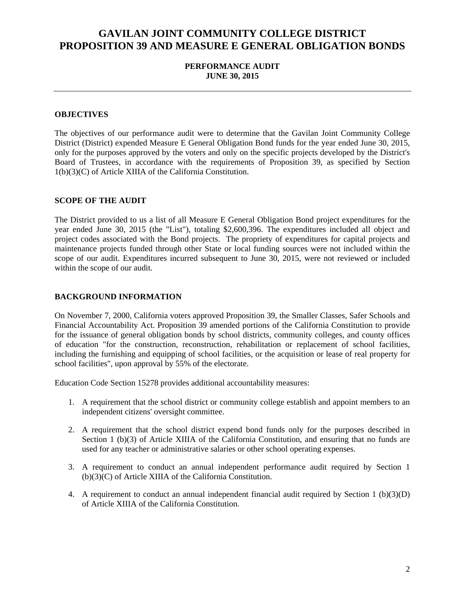### **PERFORMANCE AUDIT JUNE 30, 2015**

### **OBJECTIVES**

The objectives of our performance audit were to determine that the Gavilan Joint Community College District (District) expended Measure E General Obligation Bond funds for the year ended June 30, 2015, only for the purposes approved by the voters and only on the specific projects developed by the District's Board of Trustees, in accordance with the requirements of Proposition 39, as specified by Section 1(b)(3)(C) of Article XIIIA of the California Constitution.

#### **SCOPE OF THE AUDIT**

The District provided to us a list of all Measure E General Obligation Bond project expenditures for the year ended June 30, 2015 (the "List"), totaling \$2,600,396. The expenditures included all object and project codes associated with the Bond projects. The propriety of expenditures for capital projects and maintenance projects funded through other State or local funding sources were not included within the scope of our audit. Expenditures incurred subsequent to June 30, 2015, were not reviewed or included within the scope of our audit.

#### **BACKGROUND INFORMATION**

On November 7, 2000, California voters approved Proposition 39, the Smaller Classes, Safer Schools and Financial Accountability Act. Proposition 39 amended portions of the California Constitution to provide for the issuance of general obligation bonds by school districts, community colleges, and county offices of education "for the construction, reconstruction, rehabilitation or replacement of school facilities, including the furnishing and equipping of school facilities, or the acquisition or lease of real property for school facilities", upon approval by 55% of the electorate.

Education Code Section 15278 provides additional accountability measures:

- 1. A requirement that the school district or community college establish and appoint members to an independent citizens' oversight committee.
- 2. A requirement that the school district expend bond funds only for the purposes described in Section 1 (b)(3) of Article XIIIA of the California Constitution, and ensuring that no funds are used for any teacher or administrative salaries or other school operating expenses.
- 3. A requirement to conduct an annual independent performance audit required by Section 1 (b)(3)(C) of Article XIIIA of the California Constitution.
- 4. A requirement to conduct an annual independent financial audit required by Section 1 (b)(3)(D) of Article XIIIA of the California Constitution.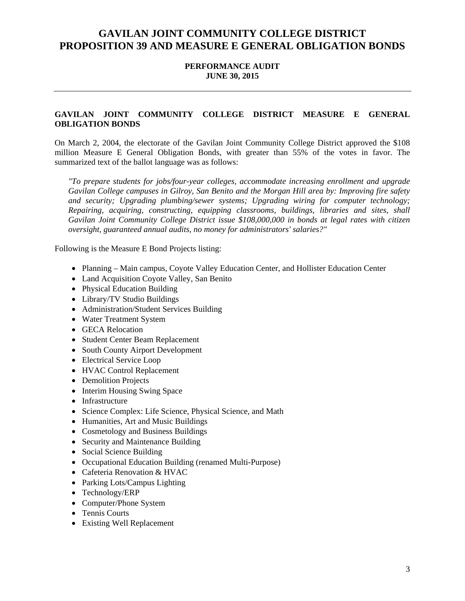### **PERFORMANCE AUDIT JUNE 30, 2015**

### **GAVILAN JOINT COMMUNITY COLLEGE DISTRICT MEASURE E GENERAL OBLIGATION BONDS**

On March 2, 2004, the electorate of the Gavilan Joint Community College District approved the \$108 million Measure E General Obligation Bonds, with greater than 55% of the votes in favor. The summarized text of the ballot language was as follows:

*"To prepare students for jobs/four-year colleges, accommodate increasing enrollment and upgrade Gavilan College campuses in Gilroy, San Benito and the Morgan Hill area by: Improving fire safety and security; Upgrading plumbing/sewer systems; Upgrading wiring for computer technology; Repairing, acquiring, constructing, equipping classrooms, buildings, libraries and sites, shall Gavilan Joint Community College District issue \$108,000,000 in bonds at legal rates with citizen oversight, guaranteed annual audits, no money for administrators' salaries?"* 

Following is the Measure E Bond Projects listing:

- Planning Main campus, Coyote Valley Education Center, and Hollister Education Center
- Land Acquisition Coyote Valley, San Benito
- Physical Education Building
- Library/TV Studio Buildings
- Administration/Student Services Building
- Water Treatment System
- GECA Relocation
- Student Center Beam Replacement
- South County Airport Development
- Electrical Service Loop
- HVAC Control Replacement
- Demolition Projects
- Interim Housing Swing Space
- Infrastructure
- Science Complex: Life Science, Physical Science, and Math
- Humanities, Art and Music Buildings
- Cosmetology and Business Buildings
- Security and Maintenance Building
- Social Science Building
- Occupational Education Building (renamed Multi-Purpose)
- Cafeteria Renovation & HVAC
- Parking Lots/Campus Lighting
- Technology/ERP
- Computer/Phone System
- Tennis Courts
- Existing Well Replacement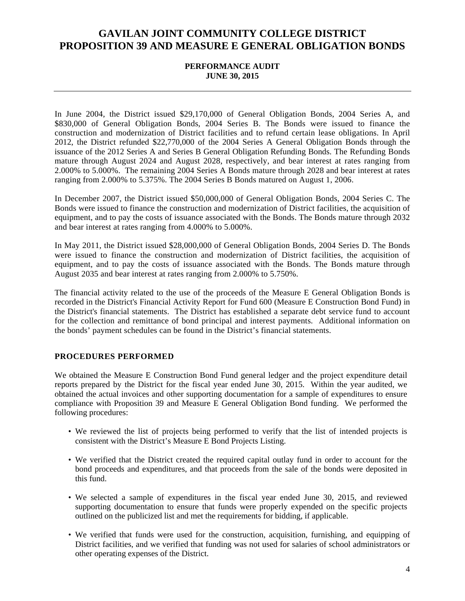#### **PERFORMANCE AUDIT JUNE 30, 2015**

In June 2004, the District issued \$29,170,000 of General Obligation Bonds, 2004 Series A, and \$830,000 of General Obligation Bonds, 2004 Series B. The Bonds were issued to finance the construction and modernization of District facilities and to refund certain lease obligations. In April 2012, the District refunded \$22,770,000 of the 2004 Series A General Obligation Bonds through the issuance of the 2012 Series A and Series B General Obligation Refunding Bonds. The Refunding Bonds mature through August 2024 and August 2028, respectively, and bear interest at rates ranging from 2.000% to 5.000%. The remaining 2004 Series A Bonds mature through 2028 and bear interest at rates ranging from 2.000% to 5.375%. The 2004 Series B Bonds matured on August 1, 2006.

In December 2007, the District issued \$50,000,000 of General Obligation Bonds, 2004 Series C. The Bonds were issued to finance the construction and modernization of District facilities, the acquisition of equipment, and to pay the costs of issuance associated with the Bonds. The Bonds mature through 2032 and bear interest at rates ranging from 4.000% to 5.000%.

In May 2011, the District issued \$28,000,000 of General Obligation Bonds, 2004 Series D. The Bonds were issued to finance the construction and modernization of District facilities, the acquisition of equipment, and to pay the costs of issuance associated with the Bonds. The Bonds mature through August 2035 and bear interest at rates ranging from 2.000% to 5.750%.

The financial activity related to the use of the proceeds of the Measure E General Obligation Bonds is recorded in the District's Financial Activity Report for Fund 600 (Measure E Construction Bond Fund) in the District's financial statements. The District has established a separate debt service fund to account for the collection and remittance of bond principal and interest payments. Additional information on the bonds' payment schedules can be found in the District's financial statements.

### **PROCEDURES PERFORMED**

We obtained the Measure E Construction Bond Fund general ledger and the project expenditure detail reports prepared by the District for the fiscal year ended June 30, 2015. Within the year audited, we obtained the actual invoices and other supporting documentation for a sample of expenditures to ensure compliance with Proposition 39 and Measure E General Obligation Bond funding. We performed the following procedures:

- We reviewed the list of projects being performed to verify that the list of intended projects is consistent with the District's Measure E Bond Projects Listing.
- We verified that the District created the required capital outlay fund in order to account for the bond proceeds and expenditures, and that proceeds from the sale of the bonds were deposited in this fund.
- We selected a sample of expenditures in the fiscal year ended June 30, 2015, and reviewed supporting documentation to ensure that funds were properly expended on the specific projects outlined on the publicized list and met the requirements for bidding, if applicable.
- We verified that funds were used for the construction, acquisition, furnishing, and equipping of District facilities, and we verified that funding was not used for salaries of school administrators or other operating expenses of the District.